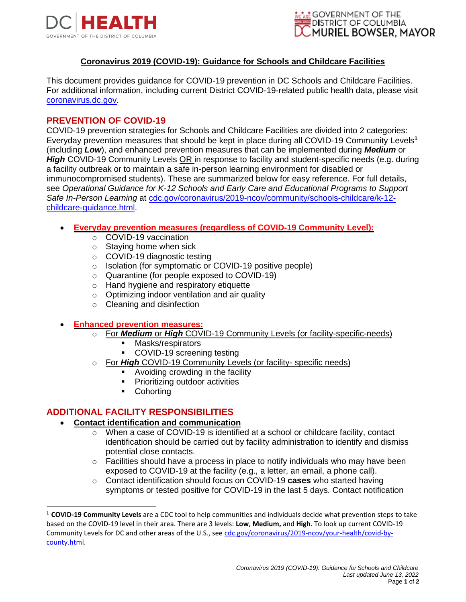



## **Coronavirus 2019 (COVID-19): Guidance for Schools and Childcare Facilities**

This document provides guidance for COVID-19 prevention in DC Schools and Childcare Facilities. For additional information, including current District COVID-19-related public health data, please visit [coronavirus.dc.gov.](https://coronavirus.dc.gov/)

## **PREVENTION OF COVID-19**

COVID-19 prevention strategies for Schools and Childcare Facilities are divided into 2 categories: Everyday prevention measures that should be kept in place during all COVID-19 Community Levels**<sup>1</sup>** (including *Low*), and enhanced prevention measures that can be implemented during *Medium* or *High* COVID-19 Community Levels OR in response to facility and student-specific needs (e.g. during a facility outbreak or to maintain a safe in-person learning environment for disabled or immunocompromised students). These are summarized below for easy reference. For full details, see *Operational Guidance for K-12 Schools and Early Care and Educational Programs to Support Safe In-Person Learning* at [cdc.gov/coronavirus/2019-ncov/community/schools-childcare/k-12](https://www.cdc.gov/coronavirus/2019-ncov/community/schools-childcare/k-12-childcare-guidance.html) [childcare-guidance.html.](https://www.cdc.gov/coronavirus/2019-ncov/community/schools-childcare/k-12-childcare-guidance.html)

- **Everyday prevention measures (regardless of COVID-19 Community Level):** 
	- o COVID-19 vaccination
	- $\circ$  Staying home when sick
	- o COVID-19 diagnostic testing
	- o Isolation (for symptomatic or COVID-19 positive people)
	- o Quarantine (for people exposed to COVID-19)
	- o Hand hygiene and respiratory etiquette
	- o Optimizing indoor ventilation and air quality
	- o Cleaning and disinfection
- **Enhanced prevention measures:**
	- o For *Medium* or *High* COVID-19 Community Levels (or facility-specific-needs)
		- Masks/respirators
		- COVID-19 screening testing
	- o For *High* COVID-19 Community Levels (or facility- specific needs)
		- Avoiding crowding in the facility
		- Prioritizing outdoor activities
		- Cohorting

## **ADDITIONAL FACILITY RESPONSIBILITIES**

- **Contact identification and communication**
	- $\circ$  When a case of COVID-19 is identified at a school or childcare facility, contact identification should be carried out by facility administration to identify and dismiss potential close contacts.
	- $\circ$  Facilities should have a process in place to notify individuals who may have been exposed to COVID-19 at the facility (e.g., a letter, an email, a phone call).
	- o Contact identification should focus on COVID-19 **cases** who started having symptoms or tested positive for COVID-19 in the last 5 days. Contact notification

<sup>1</sup> **COVID-19 Community Levels** are a CDC tool to help communities and individuals decide what prevention steps to take based on the COVID-19 level in their area. There are 3 levels: **Low**, **Medium,** and **High**. To look up current COVID-19 Community Levels for DC and other areas of the U.S., see [cdc.gov/coronavirus/2019-ncov/your-health/covid-by](https://www.cdc.gov/coronavirus/2019-ncov/your-health/covid-by-county.html)[county.html.](https://www.cdc.gov/coronavirus/2019-ncov/your-health/covid-by-county.html)